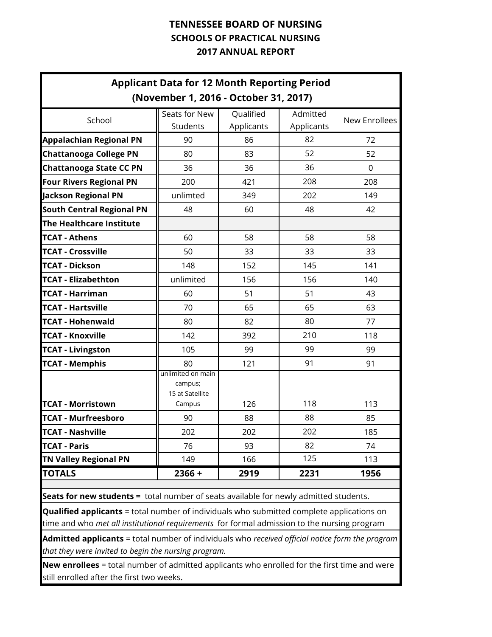|                                                                                                                                                                                                 | <b>Applicant Data for 12 Month Reporting Period</b><br>(November 1, 2016 - October 31, 2017) |                         |                        |                      |
|-------------------------------------------------------------------------------------------------------------------------------------------------------------------------------------------------|----------------------------------------------------------------------------------------------|-------------------------|------------------------|----------------------|
| School                                                                                                                                                                                          | Seats for New<br>Students                                                                    | Qualified<br>Applicants | Admitted<br>Applicants | <b>New Enrollees</b> |
| <b>Appalachian Regional PN</b>                                                                                                                                                                  | 90                                                                                           | 86                      | 82                     | 72                   |
| <b>Chattanooga College PN</b>                                                                                                                                                                   | 80                                                                                           | 83                      | 52                     | 52                   |
| <b>Chattanooga State CC PN</b>                                                                                                                                                                  | 36                                                                                           | 36                      | 36                     | $\mathbf 0$          |
| <b>Four Rivers Regional PN</b>                                                                                                                                                                  | 200                                                                                          | 421                     | 208                    | 208                  |
| <b>Jackson Regional PN</b>                                                                                                                                                                      | unlimted                                                                                     | 349                     | 202                    | 149                  |
| <b>South Central Regional PN</b>                                                                                                                                                                | 48                                                                                           | 60                      | 48                     | 42                   |
| The Healthcare Institute                                                                                                                                                                        |                                                                                              |                         |                        |                      |
| <b>TCAT - Athens</b>                                                                                                                                                                            | 60                                                                                           | 58                      | 58                     | 58                   |
| <b>TCAT - Crossville</b>                                                                                                                                                                        | 50                                                                                           | 33                      | 33                     | 33                   |
| <b>TCAT - Dickson</b>                                                                                                                                                                           | 148                                                                                          | 152                     | 145                    | 141                  |
| <b>TCAT - Elizabethton</b>                                                                                                                                                                      | unlimited                                                                                    | 156                     | 156                    | 140                  |
| <b>TCAT - Harriman</b>                                                                                                                                                                          | 60                                                                                           | 51                      | 51                     | 43                   |
| <b>TCAT - Hartsville</b>                                                                                                                                                                        | 70                                                                                           | 65                      | 65                     | 63                   |
| <b>TCAT - Hohenwald</b>                                                                                                                                                                         | 80                                                                                           | 82                      | 80                     | 77                   |
| <b>TCAT - Knoxville</b>                                                                                                                                                                         | 142                                                                                          | 392                     | 210                    | 118                  |
| <b>TCAT - Livingston</b>                                                                                                                                                                        | 105                                                                                          | 99                      | 99                     | 99                   |
| <b>TCAT - Memphis</b>                                                                                                                                                                           | 80                                                                                           | 121                     | 91                     | 91                   |
| <b>TCAT - Morristown</b>                                                                                                                                                                        | unlimited on main<br>campus;<br>15 at Satellite<br>Campus                                    | 126                     | 118                    | 113                  |
| <b>TCAT - Murfreesboro</b>                                                                                                                                                                      | 90                                                                                           | 88                      | 88                     | 85                   |
| <b>TCAT - Nashville</b>                                                                                                                                                                         | 202                                                                                          | 202                     | 202                    | 185                  |
| <b>TCAT - Paris</b>                                                                                                                                                                             | 76                                                                                           | 93                      | 82                     | 74                   |
| <b>TN Valley Regional PN</b>                                                                                                                                                                    | 149                                                                                          | 166                     | 125                    | 113                  |
| <b>TOTALS</b>                                                                                                                                                                                   | $2366 +$                                                                                     | 2919                    | 2231                   | 1956                 |
|                                                                                                                                                                                                 |                                                                                              |                         |                        |                      |
| Seats for new students = total number of seats available for newly admitted students.                                                                                                           |                                                                                              |                         |                        |                      |
| <b>Qualified applicants</b> = total number of individuals who submitted complete applications on<br>time and who met all institutional requirements for formal admission to the nursing program |                                                                                              |                         |                        |                      |
| <b>Admitted applicants</b> = total number of individuals who received official notice form the program<br>that they were invited to begin the nursing program.                                  |                                                                                              |                         |                        |                      |

**New enrollees** = total number of admitted applicants who enrolled for the first time and were still enrolled after the first two weeks.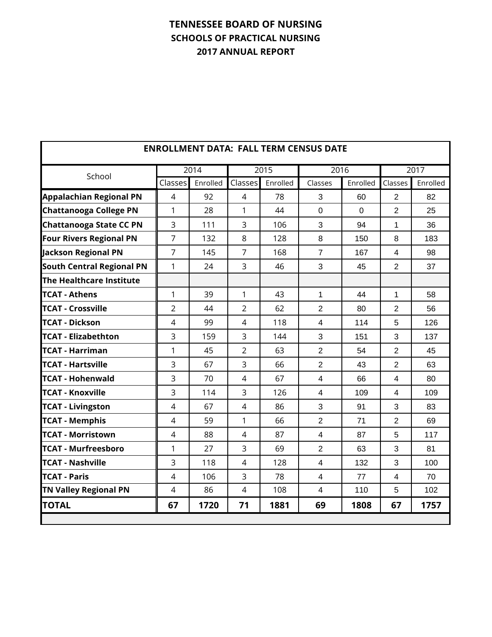|                                  |                |          |                |          | <b>ENROLLMENT DATA: FALL TERM CENSUS DATE</b> |                |                |          |
|----------------------------------|----------------|----------|----------------|----------|-----------------------------------------------|----------------|----------------|----------|
| School                           |                | 2014     |                | 2015     | 2016                                          |                |                | 2017     |
|                                  | Classes        | Enrolled | Classes        | Enrolled | Classes                                       | Enrolled       | Classes        | Enrolled |
| <b>Appalachian Regional PN</b>   | 4              | 92       | 4              | 78       | 3                                             | 60             | $\overline{2}$ | 82       |
| <b>Chattanooga College PN</b>    | 1              | 28       | 1              | 44       | $\overline{0}$                                | $\overline{0}$ | $\overline{2}$ | 25       |
| <b>Chattanooga State CC PN</b>   | 3              | 111      | $\overline{3}$ | 106      | 3                                             | 94             | 1              | 36       |
| <b>Four Rivers Regional PN</b>   | $\overline{7}$ | 132      | 8              | 128      | 8                                             | 150            | 8              | 183      |
| Jackson Regional PN              | $\overline{7}$ | 145      | $\overline{7}$ | 168      | $\overline{7}$                                | 167            | 4              | 98       |
| <b>South Central Regional PN</b> | 1              | 24       | 3              | 46       | 3                                             | 45             | $\overline{2}$ | 37       |
| The Healthcare Institute         |                |          |                |          |                                               |                |                |          |
| <b>TCAT - Athens</b>             | 1              | 39       | 1              | 43       | $\mathbf{1}$                                  | 44             | $\mathbf{1}$   | 58       |
| <b>TCAT - Crossville</b>         | $\overline{2}$ | 44       | $\overline{2}$ | 62       | $\overline{2}$                                | 80             | $\overline{2}$ | 56       |
| <b>TCAT - Dickson</b>            | $\overline{4}$ | 99       | $\overline{4}$ | 118      | $\overline{4}$                                | 114            | 5              | 126      |
| <b>TCAT - Elizabethton</b>       | 3              | 159      | $\overline{3}$ | 144      | 3                                             | 151            | 3              | 137      |
| <b>TCAT - Harriman</b>           | 1              | 45       | $\overline{2}$ | 63       | $\overline{2}$                                | 54             | $\overline{2}$ | 45       |
| <b>TCAT - Hartsville</b>         | 3              | 67       | 3              | 66       | $\overline{2}$                                | 43             | 2              | 63       |
| <b>TCAT - Hohenwald</b>          | 3              | 70       | 4              | 67       | $\overline{4}$                                | 66             | 4              | 80       |
| <b>TCAT - Knoxville</b>          | 3              | 114      | 3              | 126      | $\overline{4}$                                | 109            | $\overline{4}$ | 109      |
| <b>TCAT - Livingston</b>         | 4              | 67       | $\overline{4}$ | 86       | 3                                             | 91             | 3              | 83       |
| <b>TCAT - Memphis</b>            | 4              | 59       | $\mathbf{1}$   | 66       | $\overline{2}$                                | 71             | $\overline{2}$ | 69       |
| <b>TCAT - Morristown</b>         | 4              | 88       | $\overline{4}$ | 87       | $\overline{4}$                                | 87             | 5              | 117      |
| <b>TCAT - Murfreesboro</b>       | 1              | 27       | 3              | 69       | $\overline{2}$                                | 63             | 3              | 81       |
| <b>TCAT - Nashville</b>          | 3              | 118      | $\overline{4}$ | 128      | $\overline{4}$                                | 132            | 3              | 100      |
| <b>TCAT - Paris</b>              | $\overline{4}$ | 106      | 3              | 78       | $\overline{4}$                                | 77             | $\overline{4}$ | 70       |
| <b>TN Valley Regional PN</b>     | 4              | 86       | $\overline{4}$ | 108      | 4                                             | 110            | 5              | 102      |
| <b>TOTAL</b>                     | 67             | 1720     | 71             | 1881     | 69                                            | 1808           | 67             | 1757     |
|                                  |                |          |                |          |                                               |                |                |          |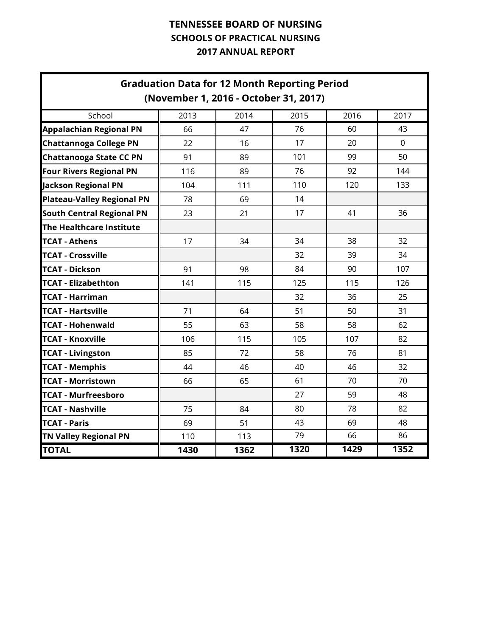|                                   | <b>Graduation Data for 12 Month Reporting Period</b><br>(November 1, 2016 - October 31, 2017) |      |      |      |          |
|-----------------------------------|-----------------------------------------------------------------------------------------------|------|------|------|----------|
| School                            | 2013                                                                                          | 2014 | 2015 | 2016 | 2017     |
| <b>Appalachian Regional PN</b>    | 66                                                                                            | 47   | 76   | 60   | 43       |
| <b>Chattannoga College PN</b>     | 22                                                                                            | 16   | 17   | 20   | $\Omega$ |
| <b>Chattanooga State CC PN</b>    | 91                                                                                            | 89   | 101  | 99   | 50       |
| <b>Four Rivers Regional PN</b>    | 116                                                                                           | 89   | 76   | 92   | 144      |
| <b>Jackson Regional PN</b>        | 104                                                                                           | 111  | 110  | 120  | 133      |
| <b>Plateau-Valley Regional PN</b> | 78                                                                                            | 69   | 14   |      |          |
| <b>South Central Regional PN</b>  | 23                                                                                            | 21   | 17   | 41   | 36       |
| The Healthcare Institute          |                                                                                               |      |      |      |          |
| <b>TCAT - Athens</b>              | 17                                                                                            | 34   | 34   | 38   | 32       |
| <b>TCAT - Crossville</b>          |                                                                                               |      | 32   | 39   | 34       |
| <b>TCAT - Dickson</b>             | 91                                                                                            | 98   | 84   | 90   | 107      |
| <b>TCAT - Elizabethton</b>        | 141                                                                                           | 115  | 125  | 115  | 126      |
| <b>TCAT - Harriman</b>            |                                                                                               |      | 32   | 36   | 25       |
| <b>TCAT - Hartsville</b>          | 71                                                                                            | 64   | 51   | 50   | 31       |
| <b>TCAT - Hohenwald</b>           | 55                                                                                            | 63   | 58   | 58   | 62       |
| <b>TCAT - Knoxville</b>           | 106                                                                                           | 115  | 105  | 107  | 82       |
| <b>TCAT - Livingston</b>          | 85                                                                                            | 72   | 58   | 76   | 81       |
| <b>TCAT - Memphis</b>             | 44                                                                                            | 46   | 40   | 46   | 32       |
| <b>TCAT - Morristown</b>          | 66                                                                                            | 65   | 61   | 70   | 70       |
| <b>TCAT - Murfreesboro</b>        |                                                                                               |      | 27   | 59   | 48       |
| <b>TCAT - Nashville</b>           | 75                                                                                            | 84   | 80   | 78   | 82       |
| <b>TCAT - Paris</b>               | 69                                                                                            | 51   | 43   | 69   | 48       |
| <b>TN Valley Regional PN</b>      | 110                                                                                           | 113  | 79   | 66   | 86       |
| <b>TOTAL</b>                      | 1430                                                                                          | 1362 | 1320 | 1429 | 1352     |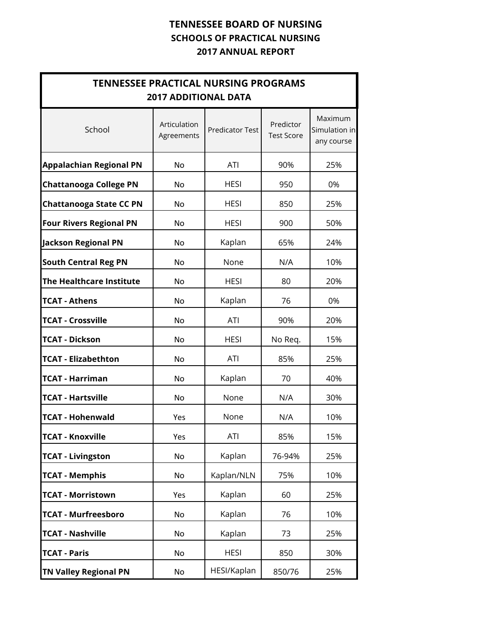| <b>TENNESSEE PRACTICAL NURSING PROGRAMS</b> | <b>2017 ADDITIONAL DATA</b> |                        |                                |                                        |  |
|---------------------------------------------|-----------------------------|------------------------|--------------------------------|----------------------------------------|--|
| School                                      | Articulation<br>Agreements  | <b>Predicator Test</b> | Predictor<br><b>Test Score</b> | Maximum<br>Simulation in<br>any course |  |
| <b>Appalachian Regional PN</b>              | No                          | <b>ATI</b>             | 90%                            | 25%                                    |  |
| <b>Chattanooga College PN</b>               | No                          | <b>HESI</b>            | 950                            | 0%                                     |  |
| <b>Chattanooga State CC PN</b>              | No                          | <b>HESI</b>            | 850                            | 25%                                    |  |
| <b>Four Rivers Regional PN</b>              | No                          | <b>HESI</b>            | 900                            | 50%                                    |  |
| Jackson Regional PN                         | No                          | Kaplan                 | 65%                            | 24%                                    |  |
| <b>South Central Reg PN</b>                 | No                          | None                   | N/A                            | 10%                                    |  |
| The Healthcare Institute                    | No                          | <b>HESI</b>            | 80                             | 20%                                    |  |
| <b>TCAT - Athens</b>                        | No                          | Kaplan                 | 76                             | 0%                                     |  |
| <b>TCAT - Crossville</b>                    | No                          | <b>ATI</b>             | 90%                            | 20%                                    |  |
| <b>TCAT - Dickson</b>                       | No                          | <b>HESI</b>            | No Req.                        | 15%                                    |  |
| <b>TCAT - Elizabethton</b>                  | No                          | <b>ATI</b>             | 85%                            | 25%                                    |  |
| <b>TCAT - Harriman</b>                      | No                          | Kaplan                 | 70                             | 40%                                    |  |
| <b>TCAT - Hartsville</b>                    | No                          | None                   | N/A                            | 30%                                    |  |
| <b>TCAT - Hohenwald</b>                     | Yes                         | None                   | N/A                            | 10%                                    |  |
| <b>TCAT - Knoxville</b>                     | Yes                         | ATI                    | 85%                            | 15%                                    |  |
| <b>TCAT - Livingston</b>                    | No                          | Kaplan                 | 76-94%                         | 25%                                    |  |
| <b>TCAT - Memphis</b>                       | No                          | Kaplan/NLN             | 75%                            | 10%                                    |  |
| <b>TCAT - Morristown</b>                    | Yes                         | Kaplan                 | 60                             | 25%                                    |  |
| <b>TCAT - Murfreesboro</b>                  | No                          | Kaplan                 | 76                             | 10%                                    |  |
| <b>TCAT - Nashville</b>                     | No                          | Kaplan                 | 73                             | 25%                                    |  |
| <b>TCAT - Paris</b>                         | No                          | <b>HESI</b>            | 850                            | 30%                                    |  |
| <b>TN Valley Regional PN</b>                | No                          | HESI/Kaplan            | 850/76                         | 25%                                    |  |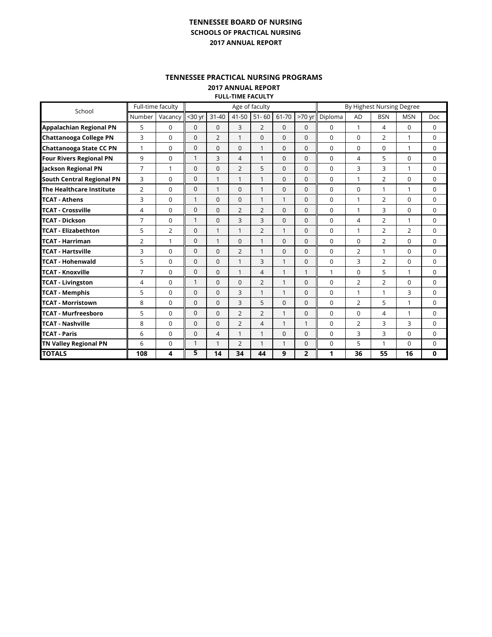#### **TENNESSEE PRACTICAL NURSING PROGRAMS**

**2017 ANNUAL REPORT FULL-TIME FACULTY**

| School                           |                | Full-time faculty |                |                |                | Age of faculty |              | By Highest Nursing Degree |          |                |                |                |              |
|----------------------------------|----------------|-------------------|----------------|----------------|----------------|----------------|--------------|---------------------------|----------|----------------|----------------|----------------|--------------|
|                                  | Number         | Vacancy           | $30$ yr        | $31 - 40$      | $41 - 50$      | $51 - 60$      | 61-70        | $>70$ yr                  | Diploma  | <b>AD</b>      | <b>BSN</b>     | <b>MSN</b>     | Doc          |
| <b>Appalachian Regional PN</b>   | 5              | 0                 | $\mathbf{0}$   | $\Omega$       | 3              | $\overline{2}$ | $\Omega$     | $\Omega$                  | 0        | $\mathbf{1}$   | 4              | 0              | $\Omega$     |
| <b>Chattanooga College PN</b>    | 3              | $\Omega$          | $\Omega$       | $\overline{2}$ | 1              | $\Omega$       | $\Omega$     | $\Omega$                  | $\Omega$ | $\Omega$       | 2              | 1              | $\Omega$     |
| Chattanooga State CC PN          | 1              | 0                 | $\mathbf 0$    | $\Omega$       | $\mathbf{0}$   | 1              | $\mathbf 0$  | $\Omega$                  | $\Omega$ | $\mathbf 0$    | $\Omega$       | 1              | $\mathbf 0$  |
| <b>Four Rivers Regional PN</b>   | 9              | $\Omega$          | $\mathbf{1}$   | 3              | 4              | 1              | $\Omega$     | $\Omega$                  | $\Omega$ | 4              | 5              | $\Omega$       | $\Omega$     |
| <b>Jackson Regional PN</b>       | $\overline{7}$ | 1                 | $\mathbf{0}$   | $\Omega$       | $\overline{2}$ | 5              | $\Omega$     | $\Omega$                  | $\Omega$ | 3              | 3              | 1              | $\mathbf 0$  |
| <b>South Central Regional PN</b> | 3              | $\Omega$          | $\Omega$       | $\mathbf{1}$   | 1              | 1              | $\Omega$     | $\Omega$                  | $\Omega$ | 1              | $\overline{2}$ | 0              | $\Omega$     |
| The Healthcare Institute         | $\overline{2}$ | $\Omega$          | $\mathbf{0}$   | 1              | $\Omega$       | 1              | $\Omega$     | $\Omega$                  | $\Omega$ | $\Omega$       | 1              | 1              | $\mathbf 0$  |
| <b>TCAT - Athens</b>             | 3              | $\Omega$          | $\mathbf{1}$   | $\Omega$       | $\Omega$       | 1              | $\mathbf{1}$ | $\Omega$                  | $\Omega$ | 1              | $\overline{2}$ | $\Omega$       | $\mathbf 0$  |
| <b>TCAT - Crossville</b>         | 4              | $\Omega$          | $\Omega$       | $\Omega$       | $\overline{2}$ | $\overline{2}$ | $\Omega$     | $\Omega$                  | $\Omega$ | 1              | 3              | $\Omega$       | $\Omega$     |
| <b>TCAT - Dickson</b>            | 7              | $\Omega$          | $\mathbf{1}$   | $\Omega$       | 3              | 3              | $\Omega$     | $\Omega$                  | $\Omega$ | 4              | 2              | $\mathbf{1}$   | $\Omega$     |
| <b>TCAT - Elizabethton</b>       | 5              | $\overline{2}$    | $\Omega$       | 1              | 1              | $\overline{2}$ | $\mathbf{1}$ | $\Omega$                  | $\Omega$ | 1              | $\mathcal{P}$  | $\overline{2}$ | $\Omega$     |
| <b>TCAT - Harriman</b>           | 2              | $\mathbf{1}$      | $\Omega$       | $\mathbf{1}$   | $\Omega$       | 1              | $\Omega$     | $\Omega$                  | 0        | $\Omega$       | $\overline{2}$ | 0              | $\Omega$     |
| <b>TCAT - Hartsville</b>         | 3              | $\Omega$          | $\Omega$       | $\Omega$       | $\overline{2}$ | 1              | $\Omega$     | $\Omega$                  | $\Omega$ | $\overline{2}$ | $\mathbf{1}$   | $\Omega$       | $\Omega$     |
| <b>TCAT - Hohenwald</b>          | 5              | $\Omega$          | $\Omega$       | $\Omega$       | 1              | 3              | $\mathbf{1}$ | $\Omega$                  | $\Omega$ | 3              | 2              | 0              | 0            |
| <b>TCAT - Knoxville</b>          | 7              | $\Omega$          | $\Omega$       | $\Omega$       | 1              | 4              | $\mathbf{1}$ | $\mathbf{1}$              | 1        | $\Omega$       | 5              | 1              | $\Omega$     |
| <b>TCAT - Livingston</b>         | 4              | $\Omega$          | $\mathbf{1}$   | $\Omega$       | $\Omega$       | $\overline{2}$ | $\mathbf{1}$ | $\Omega$                  | 0        | 2              | $\overline{2}$ | 0              | $\Omega$     |
| <b>TCAT - Memphis</b>            | 5              | 0                 | 0              | $\Omega$       | 3              | 1              | $\mathbf{1}$ | $\Omega$                  | 0        | 1              | 1              | 3              | 0            |
| <b>TCAT - Morristown</b>         | 8              | 0                 | $\overline{0}$ | $\Omega$       | 3              | 5              | $\Omega$     | $\Omega$                  | $\Omega$ | 2              | 5              | 1              | $\mathbf 0$  |
| <b>TCAT - Murfreesboro</b>       | 5              | $\Omega$          | $\overline{0}$ | $\Omega$       | $\overline{2}$ | $\overline{2}$ | $\mathbf{1}$ | $\Omega$                  | $\Omega$ | $\Omega$       | 4              | 1              | 0            |
| <b>TCAT - Nashville</b>          | 8              | $\Omega$          | $\overline{0}$ | $\Omega$       | $\overline{2}$ | 4              | $\mathbf{1}$ | 1                         | 0        | 2              | 3              | 3              | 0            |
| <b>TCAT - Paris</b>              | 6              | 0                 | $\mathbf{0}$   | 4              | 1              | 1              | $\Omega$     | $\Omega$                  | $\Omega$ | 3              | 3              | 0              | 0            |
| <b>TN Valley Regional PN</b>     | 6              | 0                 | $\mathbf{1}$   | 1              | $\overline{2}$ | 1              | $\mathbf{1}$ | $\Omega$                  | 0        | 5              | $\mathbf{1}$   | $\Omega$       | $\mathbf 0$  |
| <b>TOTALS</b>                    | 108            | 4                 | 5              | 14             | 34             | 44             | 9            | $\overline{2}$            | 1        | 36             | 55             | 16             | $\mathbf{0}$ |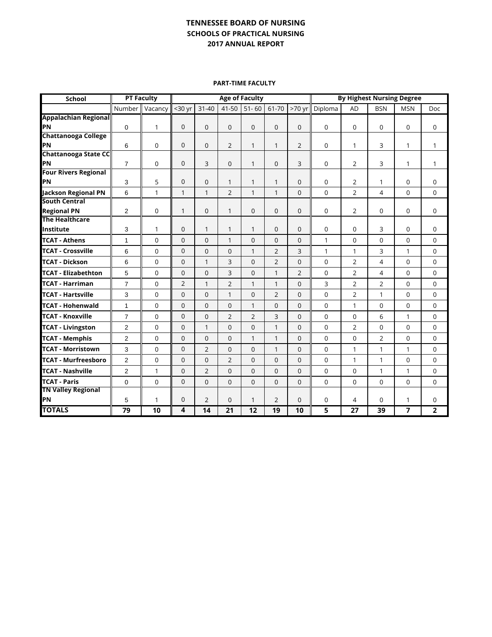**PART-TIME FACULTY**

| <b>School</b>                               | <b>PT Faculty</b> |              | <b>Age of Faculty</b> |                |                |                |                | <b>By Highest Nursing Degree</b> |             |                |                |              |                |
|---------------------------------------------|-------------------|--------------|-----------------------|----------------|----------------|----------------|----------------|----------------------------------|-------------|----------------|----------------|--------------|----------------|
|                                             | Number            | Vacancy      | $30$ yr               | $31 - 40$      | 41-50          | $51 - 60$      | 61-70          | >70 yr                           | Diploma     | <b>AD</b>      | <b>BSN</b>     | <b>MSN</b>   | <b>Doc</b>     |
| <b>Appalachian Regional</b>                 |                   |              |                       |                |                |                |                |                                  |             |                |                |              |                |
| PN                                          | $\mathbf 0$       | 1            | $\mathbf 0$           | $\overline{0}$ | $\mathbf{0}$   | 0              | $\mathbf 0$    | $\mathbf 0$                      | 0           | 0              | $\mathbf 0$    | 0            | 0              |
| <b>Chattanooga College</b>                  |                   |              |                       |                |                |                |                |                                  |             |                |                |              |                |
| PN                                          | 6                 | 0            | $\mathbf 0$           | $\overline{0}$ | $\overline{2}$ | 1              | 1              | 2                                | 0           | 1              | 3              | 1            | 1              |
| <b>Chattanooga State CC</b>                 |                   |              |                       |                |                |                |                |                                  |             |                |                |              |                |
| PN<br><b>Four Rivers Regional</b>           | $\overline{7}$    | 0            | $\mathbf 0$           | 3              | $\mathbf{0}$   | 1              | $\mathbf 0$    | 3                                | 0           | 2              | 3              | 1            | $\mathbf{1}$   |
| PN                                          | 3                 | 5            | $\mathbf 0$           | $\Omega$       | 1              | 1              | 1              | $\Omega$                         | 0           | $\overline{2}$ | 1              | $\Omega$     | 0              |
|                                             |                   |              |                       |                |                |                |                |                                  |             |                |                |              |                |
| Jackson Regional PN<br><b>South Central</b> | 6                 | $\mathbf{1}$ | $\mathbf{1}$          | 1              | $\overline{2}$ | $\mathbf{1}$   | $\mathbf{1}$   | $\Omega$                         | $\mathbf 0$ | $\overline{2}$ | $\overline{4}$ | $\Omega$     | $\mathbf 0$    |
| <b>Regional PN</b>                          | $\overline{2}$    | 0            | $\mathbf{1}$          | $\mathbf 0$    | 1              | 0              | $\mathbf{0}$   | $\overline{0}$                   | $\mathbf 0$ | $\overline{2}$ | 0              | 0            | 0              |
| <b>The Healthcare</b>                       |                   |              |                       |                |                |                |                |                                  |             |                |                |              |                |
| Institute                                   | 3                 | 1            | $\mathbf{0}$          | 1              | 1              | $\mathbf{1}$   | $\Omega$       | $\Omega$                         | 0           | 0              | 3              | 0            | 0              |
| <b>TCAT - Athens</b>                        | $\mathbf{1}$      | $\Omega$     | $\mathbf 0$           | $\overline{0}$ | 1              | $\Omega$       | $\mathbf 0$    | $\Omega$                         | 1           | $\Omega$       | 0              | $\Omega$     | 0              |
| <b>TCAT - Crossville</b>                    | 6                 | $\Omega$     | $\mathbf 0$           | $\Omega$       | $\Omega$       | $\mathbf{1}$   | $\overline{2}$ | 3                                | 1           | $\mathbf{1}$   | 3              | $\mathbf{1}$ | $\Omega$       |
| <b>TCAT - Dickson</b>                       | 6                 | 0            | $\mathbf 0$           | 1              | 3              | $\Omega$       | $\overline{2}$ | $\overline{0}$                   | $\mathbf 0$ | 2              | 4              | $\Omega$     | $\mathbf 0$    |
| <b>TCAT - Elizabethton</b>                  | 5                 | $\Omega$     | $\mathbf{0}$          | $\Omega$       | 3              | $\Omega$       | $\mathbf{1}$   | $\overline{2}$                   | 0           | 2              | 4              | $\Omega$     | $\mathbf 0$    |
| <b>TCAT - Harriman</b>                      | $\overline{7}$    | $\mathbf 0$  | $\overline{2}$        | 1              | $\overline{2}$ | 1              | $\mathbf{1}$   | $\overline{0}$                   | 3           | $\overline{2}$ | $\overline{2}$ | 0            | $\mathbf 0$    |
| <b>TCAT - Hartsville</b>                    | 3                 | $\Omega$     | $\Omega$              | $\Omega$       | 1              | $\Omega$       | $\overline{2}$ | $\Omega$                         | $\Omega$    | $\overline{2}$ | $\mathbf{1}$   | $\Omega$     | $\Omega$       |
| <b>TCAT - Hohenwald</b>                     | $\mathbf{1}$      | 0            | $\mathbf{0}$          | $\mathbf 0$    | $\Omega$       | 1              | $\Omega$       | $\Omega$                         | $\mathbf 0$ | $\mathbf{1}$   | $\mathbf 0$    | $\Omega$     | $\mathbf 0$    |
| <b>TCAT - Knoxville</b>                     | $\overline{7}$    | $\Omega$     | $\mathbf 0$           | $\Omega$       | $\overline{2}$ | $\overline{2}$ | 3              | $\Omega$                         | $\mathbf 0$ | $\Omega$       | 6              | $\mathbf{1}$ | $\mathbf 0$    |
| <b>TCAT - Livingston</b>                    | $\overline{2}$    | 0            | $\mathbf 0$           | 1              | $\mathbf{0}$   | 0              | 1              | $\overline{0}$                   | 0           | 2              | $\mathbf 0$    | 0            | 0              |
| <b>TCAT - Memphis</b>                       | $\overline{2}$    | $\Omega$     | $\mathbf 0$           | $\Omega$       | $\Omega$       | $\mathbf{1}$   | $\mathbf{1}$   | $\Omega$                         | $\Omega$    | $\overline{0}$ | $\overline{2}$ | $\Omega$     | $\Omega$       |
| <b>TCAT - Morristown</b>                    | 3                 | $\Omega$     | $\mathbf 0$           | $\overline{2}$ | $\Omega$       | $\Omega$       | $\mathbf{1}$   | $\Omega$                         | $\Omega$    | 1              | $\mathbf{1}$   | $\mathbf{1}$ | $\mathbf 0$    |
| <b>TCAT - Murfreesboro</b>                  | $\overline{2}$    | $\Omega$     | $\mathbf 0$           | $\Omega$       | $\overline{2}$ | $\Omega$       | $\Omega$       | $\Omega$                         | $\Omega$    | $\mathbf{1}$   | 1              | $\Omega$     | $\mathbf 0$    |
| <b>TCAT - Nashville</b>                     | 2                 | 1            | 0                     | $\overline{2}$ | $\mathbf{0}$   | 0              | $\mathbf 0$    | $\overline{0}$                   | 0           | 0              | 1              | 1            | 0              |
| <b>TCAT - Paris</b>                         | $\mathbf 0$       | $\mathbf 0$  | $\mathbf 0$           | $\mathbf 0$    | 0              | $\Omega$       | $\Omega$       | $\Omega$                         | $\mathbf 0$ | 0              | $\mathbf 0$    | 0            | $\mathbf 0$    |
| <b>TN Valley Regional</b>                   |                   |              |                       |                |                |                |                |                                  |             |                |                |              |                |
| PN                                          | 5                 | $\mathbf{1}$ | $\mathbf 0$           | $\overline{2}$ | $\Omega$       | 1              | $\overline{2}$ | $\Omega$                         | 0           | 4              | 0              | 1            | $\mathbf 0$    |
| <b>TOTALS</b>                               | $\overline{79}$   | 10           | $\overline{4}$        | 14             | 21             | 12             | 19             | 10                               | 5           | 27             | 39             | 7            | $\overline{2}$ |